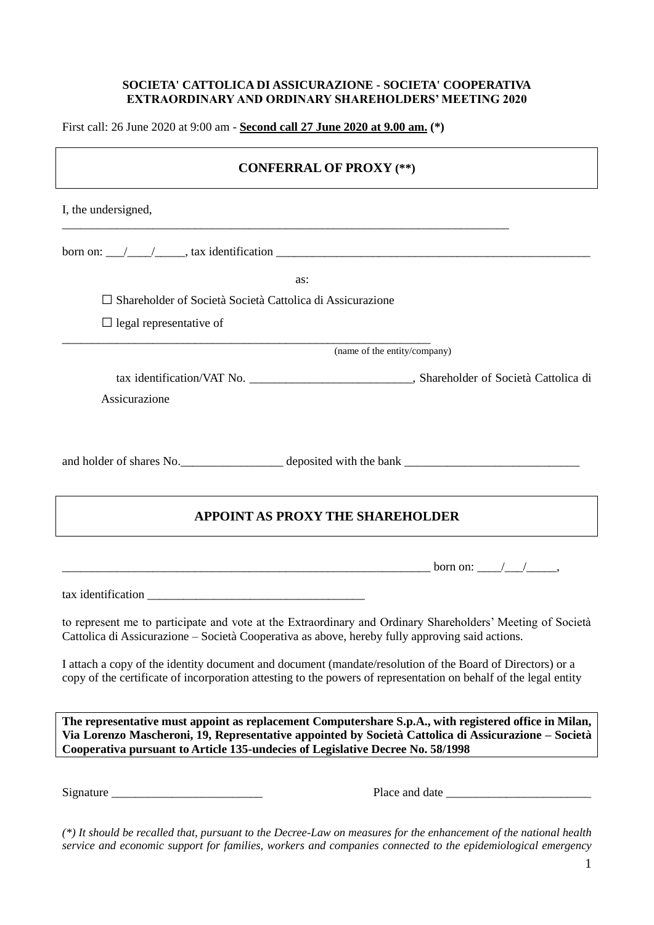### **SOCIETA' CATTOLICA DI ASSICURAZIONE - SOCIETA' COOPERATIVA EXTRAORDINARY AND ORDINARY SHAREHOLDERS' MEETING 2020**

First call: 26 June 2020 at 9:00 am - **Second call 27 June 2020 at 9.00 am. (\*)**

| <b>CONFERRAL OF PROXY (**)</b>                                                                                                                                                                                                                                                                  |  |  |  |  |  |
|-------------------------------------------------------------------------------------------------------------------------------------------------------------------------------------------------------------------------------------------------------------------------------------------------|--|--|--|--|--|
| I, the undersigned,                                                                                                                                                                                                                                                                             |  |  |  |  |  |
| born on: $\angle$ $\angle$ $\angle$ $\angle$ $\angle$ $\angle$ ax identification $\angle$                                                                                                                                                                                                       |  |  |  |  |  |
| as:                                                                                                                                                                                                                                                                                             |  |  |  |  |  |
| □ Shareholder of Società Società Cattolica di Assicurazione                                                                                                                                                                                                                                     |  |  |  |  |  |
| $\Box$ legal representative of                                                                                                                                                                                                                                                                  |  |  |  |  |  |
| (name of the entity/company)                                                                                                                                                                                                                                                                    |  |  |  |  |  |
|                                                                                                                                                                                                                                                                                                 |  |  |  |  |  |
| Assicurazione                                                                                                                                                                                                                                                                                   |  |  |  |  |  |
|                                                                                                                                                                                                                                                                                                 |  |  |  |  |  |
|                                                                                                                                                                                                                                                                                                 |  |  |  |  |  |
| <b>APPOINT AS PROXY THE SHAREHOLDER</b>                                                                                                                                                                                                                                                         |  |  |  |  |  |
| <b>born</b> on: $\frac{1}{2}$ born on: $\frac{1}{2}$ born on: $\frac{1}{2}$ born on: $\frac{1}{2}$ born on: $\frac{1}{2}$ born on: $\frac{1}{2}$ born on: $\frac{1}{2}$ born on: $\frac{1}{2}$ born on: $\frac{1}{2}$ born on: $\frac{1}{2}$ born on: $\frac{1}{2}$ born on:                    |  |  |  |  |  |
|                                                                                                                                                                                                                                                                                                 |  |  |  |  |  |
| to represent me to participate and vote at the Extraordinary and Ordinary Shareholders' Meeting of Società<br>Cattolica di Assicurazione – Società Cooperativa as above, hereby fully approving said actions.                                                                                   |  |  |  |  |  |
| I attach a copy of the identity document and document (mandate/resolution of the Board of Directors) or a<br>copy of the certificate of incorporation attesting to the powers of representation on behalf of the legal entity                                                                   |  |  |  |  |  |
| The representative must appoint as replacement Computershare S.p.A., with registered office in Milan,<br>Via Lorenzo Mascheroni, 19, Representative appointed by Società Cattolica di Assicurazione – Società<br>Cooperativa pursuant to Article 135-undecies of Legislative Decree No. 58/1998 |  |  |  |  |  |
|                                                                                                                                                                                                                                                                                                 |  |  |  |  |  |

*(\*) It should be recalled that, pursuant to the Decree-Law on measures for the enhancement of the national health service and economic support for families, workers and companies connected to the epidemiological emergency*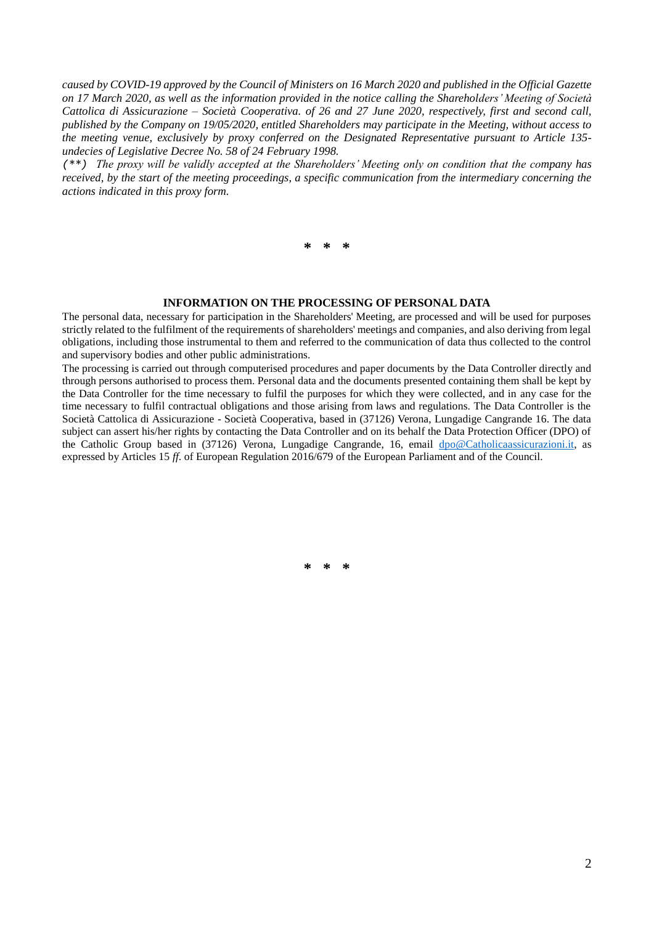*caused by COVID-19 approved by the Council of Ministers on 16 March 2020 and published in the Official Gazette on 17 March 2020, as well as the information provided in the notice calling the Shareholders' Meeting of Società Cattolica di Assicurazione – Società Cooperativa. of 26 and 27 June 2020, respectively, first and second call, published by the Company on 19/05/2020, entitled Shareholders may participate in the Meeting, without access to the meeting venue, exclusively by proxy conferred on the Designated Representative pursuant to Article 135 undecies of Legislative Decree No. 58 of 24 February 1998.*

*(\*\*) The proxy will be validly accepted at the Shareholders' Meeting only on condition that the company has received, by the start of the meeting proceedings, a specific communication from the intermediary concerning the actions indicated in this proxy form.*

**\* \* \***

#### **INFORMATION ON THE PROCESSING OF PERSONAL DATA**

The personal data, necessary for participation in the Shareholders' Meeting, are processed and will be used for purposes strictly related to the fulfilment of the requirements of shareholders' meetings and companies, and also deriving from legal obligations, including those instrumental to them and referred to the communication of data thus collected to the control and supervisory bodies and other public administrations.

The processing is carried out through computerised procedures and paper documents by the Data Controller directly and through persons authorised to process them. Personal data and the documents presented containing them shall be kept by the Data Controller for the time necessary to fulfil the purposes for which they were collected, and in any case for the time necessary to fulfil contractual obligations and those arising from laws and regulations. The Data Controller is the Società Cattolica di Assicurazione - Società Cooperativa, based in (37126) Verona, Lungadige Cangrande 16. The data subject can assert his/her rights by contacting the Data Controller and on its behalf the Data Protection Officer (DPO) of the Catholic Group based in (37126) Verona, Lungadige Cangrande, 16, email [dpo@Catholicaassicurazioni.it,](mailto:dpo@cattolicaassicurazioni.it) as expressed by Articles 15 *ff*. of European Regulation 2016/679 of the European Parliament and of the Council.

**\* \* \***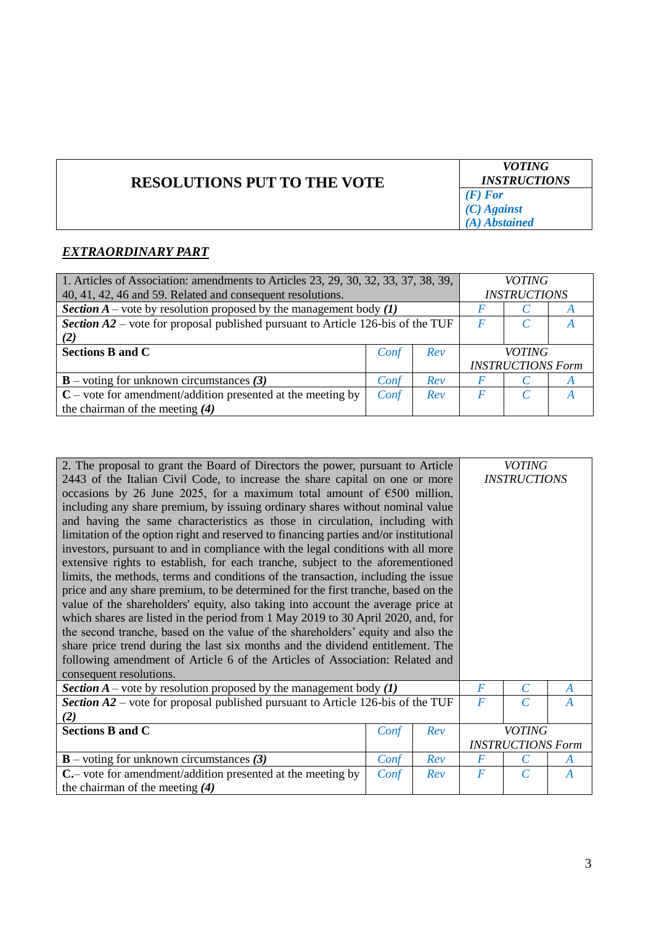| <b>RESOLUTIONS PUT TO THE VOTE</b> | <i>VOTING</i><br><i><b>INSTRUCTIONS</b></i> |
|------------------------------------|---------------------------------------------|
|                                    | $(F)$ For                                   |
|                                    | $(C)$ Against<br>(A) Abstained              |

# *EXTRAORDINARY PART*

| 1. Articles of Association: amendments to Articles 23, 29, 30, 32, 33, 37, 38, 39,<br>40, 41, 42, 46 and 59. Related and consequent resolutions. |      |     |                          | <i>VOTING</i><br><b>INSTRUCTIONS</b> |   |  |
|--------------------------------------------------------------------------------------------------------------------------------------------------|------|-----|--------------------------|--------------------------------------|---|--|
|                                                                                                                                                  |      |     |                          |                                      |   |  |
| <b>Section</b> $A$ – vote by resolution proposed by the management body (1)                                                                      |      |     |                          |                                      | Α |  |
| <b>Section <math>A2</math></b> – vote for proposal published pursuant to Article 126-bis of the TUF                                              |      |     |                          |                                      | A |  |
| (2)                                                                                                                                              |      |     |                          |                                      |   |  |
| <b>Sections B and C</b>                                                                                                                          | Conf | Rev | <i>VOTING</i>            |                                      |   |  |
|                                                                                                                                                  |      |     | <b>INSTRUCTIONS Form</b> |                                      |   |  |
| $\mathbf{B}$ – voting for unknown circumstances (3)                                                                                              | Conf | Rev |                          |                                      | А |  |
| $C$ – vote for amendment/addition presented at the meeting by                                                                                    | Conf | Rev |                          |                                      | A |  |
| the chairman of the meeting $(4)$                                                                                                                |      |     |                          |                                      |   |  |

| 2. The proposal to grant the Board of Directors the power, pursuant to Article                      |      |     |                          | <b>VOTING</b>               |                  |
|-----------------------------------------------------------------------------------------------------|------|-----|--------------------------|-----------------------------|------------------|
| 2443 of the Italian Civil Code, to increase the share capital on one or more                        |      |     |                          | <b>INSTRUCTIONS</b>         |                  |
| occasions by 26 June 2025, for a maximum total amount of $\epsilon$ 500 million,                    |      |     |                          |                             |                  |
| including any share premium, by issuing ordinary shares without nominal value                       |      |     |                          |                             |                  |
| and having the same characteristics as those in circulation, including with                         |      |     |                          |                             |                  |
| limitation of the option right and reserved to financing parties and/or institutional               |      |     |                          |                             |                  |
| investors, pursuant to and in compliance with the legal conditions with all more                    |      |     |                          |                             |                  |
| extensive rights to establish, for each tranche, subject to the aforementioned                      |      |     |                          |                             |                  |
| limits, the methods, terms and conditions of the transaction, including the issue                   |      |     |                          |                             |                  |
| price and any share premium, to be determined for the first tranche, based on the                   |      |     |                          |                             |                  |
| value of the shareholders' equity, also taking into account the average price at                    |      |     |                          |                             |                  |
| which shares are listed in the period from 1 May 2019 to 30 April 2020, and, for                    |      |     |                          |                             |                  |
| the second tranche, based on the value of the shareholders' equity and also the                     |      |     |                          |                             |                  |
| share price trend during the last six months and the dividend entitlement. The                      |      |     |                          |                             |                  |
| following amendment of Article 6 of the Articles of Association: Related and                        |      |     |                          |                             |                  |
| consequent resolutions.                                                                             |      |     |                          |                             |                  |
| <b>Section</b> $A$ – vote by resolution proposed by the management body (1)                         |      |     | $\boldsymbol{F}$         | $\overline{C}$              | $\boldsymbol{A}$ |
| <b>Section <math>A2</math></b> – vote for proposal published pursuant to Article 126-bis of the TUF |      |     | $\boldsymbol{F}$         | $\overline{C}$              | $\boldsymbol{A}$ |
| (2)                                                                                                 |      |     |                          |                             |                  |
| <b>Sections B and C</b>                                                                             | Conf | Rev | <b>VOTING</b>            |                             |                  |
|                                                                                                     |      |     | <b>INSTRUCTIONS Form</b> |                             |                  |
| $\mathbf{B}$ – voting for unknown circumstances (3)                                                 | Conf | Rev | $\bm{F}$                 | $\mathcal{C}_{\mathcal{C}}$ | A                |
| <b>C</b> - vote for amendment/addition presented at the meeting by                                  | Conf | Rev | $\boldsymbol{F}$         | $\mathcal C$                | $\boldsymbol{A}$ |
| the chairman of the meeting $(4)$                                                                   |      |     |                          |                             |                  |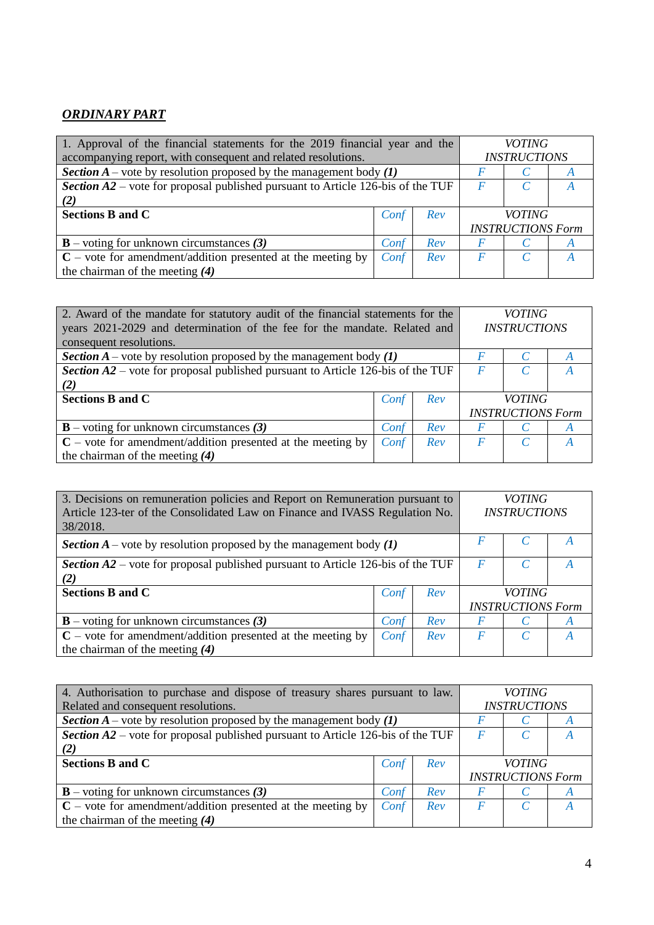# *ORDINARY PART*

| 1. Approval of the financial statements for the 2019 financial year and the<br>accompanying report, with consequent and related resolutions. |      |     |                          | <i>VOTING</i><br><b>INSTRUCTIONS</b> |  |  |
|----------------------------------------------------------------------------------------------------------------------------------------------|------|-----|--------------------------|--------------------------------------|--|--|
| <b>Section</b> $A$ – vote by resolution proposed by the management body (1)                                                                  |      |     |                          |                                      |  |  |
| <b>Section <math>A2</math></b> – vote for proposal published pursuant to Article 126-bis of the TUF                                          |      |     |                          |                                      |  |  |
| (2)                                                                                                                                          |      |     |                          |                                      |  |  |
| <b>Sections B and C</b>                                                                                                                      | Conf | Rev | <i>VOTING</i>            |                                      |  |  |
|                                                                                                                                              |      |     | <b>INSTRUCTIONS Form</b> |                                      |  |  |
| $\mathbf{B}$ – voting for unknown circumstances (3)                                                                                          | Conf | Rev |                          |                                      |  |  |
| $C$ – vote for amendment/addition presented at the meeting by                                                                                | Conf | Rev |                          |                                      |  |  |
| the chairman of the meeting $(4)$                                                                                                            |      |     |                          |                                      |  |  |

| 2. Award of the mandate for statutory audit of the financial statements for the<br>years 2021-2029 and determination of the fee for the mandate. Related and<br>consequent resolutions. |      |     | <i>VOTING</i><br><b>INSTRUCTIONS</b> |                          |  |
|-----------------------------------------------------------------------------------------------------------------------------------------------------------------------------------------|------|-----|--------------------------------------|--------------------------|--|
| <b>Section</b> $A$ – vote by resolution proposed by the management body (1)                                                                                                             |      |     |                                      |                          |  |
| <b>Section A2</b> – vote for proposal published pursuant to Article 126-bis of the TUF                                                                                                  |      |     | F                                    |                          |  |
| (2)                                                                                                                                                                                     |      |     |                                      |                          |  |
| <b>Sections B and C</b>                                                                                                                                                                 | Conf | Rev | <i>VOTING</i>                        |                          |  |
|                                                                                                                                                                                         |      |     |                                      | <b>INSTRUCTIONS Form</b> |  |
| $\mathbf{B}$ – voting for unknown circumstances (3)                                                                                                                                     | Conf | Rev |                                      |                          |  |
| $C$ – vote for amendment/addition presented at the meeting by                                                                                                                           | Conf | Rev | $\bm{F}$                             |                          |  |
| the chairman of the meeting $(4)$                                                                                                                                                       |      |     |                                      |                          |  |

| 3. Decisions on remuneration policies and Report on Remuneration pursuant to<br>Article 123-ter of the Consolidated Law on Finance and IVASS Regulation No.<br>38/2018. |             |     |                          | <i>VOTING</i><br><b>INSTRUCTIONS</b> |               |  |  |
|-------------------------------------------------------------------------------------------------------------------------------------------------------------------------|-------------|-----|--------------------------|--------------------------------------|---------------|--|--|
| <b>Section</b> $A$ – vote by resolution proposed by the management body (1)                                                                                             |             |     |                          |                                      |               |  |  |
| <b>Section <math>A2</math></b> – vote for proposal published pursuant to Article 126-bis of the TUF<br>(2)                                                              |             |     |                          |                                      |               |  |  |
| <b>Sections B and C</b>                                                                                                                                                 | Rev<br>Conf |     |                          |                                      | <i>VOTING</i> |  |  |
|                                                                                                                                                                         |             |     | <b>INSTRUCTIONS Form</b> |                                      |               |  |  |
| $\mathbf{B}$ – voting for unknown circumstances (3)                                                                                                                     | Conf        | Rev | A                        |                                      |               |  |  |
| $C$ – vote for amendment/addition presented at the meeting by<br>the chairman of the meeting $(4)$                                                                      | Conf        | Rev | $\bm{F}$                 |                                      |               |  |  |

| 4. Authorisation to purchase and dispose of treasury shares pursuant to law.           |      |     |                          | <i>VOTING</i>       |  |  |
|----------------------------------------------------------------------------------------|------|-----|--------------------------|---------------------|--|--|
| Related and consequent resolutions.                                                    |      |     |                          | <b>INSTRUCTIONS</b> |  |  |
| <b>Section</b> $A$ – vote by resolution proposed by the management body (1)            |      |     |                          |                     |  |  |
| <b>Section A2</b> – vote for proposal published pursuant to Article 126-bis of the TUF |      |     |                          |                     |  |  |
| (2)                                                                                    |      |     |                          |                     |  |  |
| <b>Sections B and C</b>                                                                | Conf | Rev | <i>VOTING</i>            |                     |  |  |
|                                                                                        |      |     | <b>INSTRUCTIONS Form</b> |                     |  |  |
| $\mathbf{B}$ – voting for unknown circumstances (3)                                    | Conf | Rev |                          |                     |  |  |
| $C$ – vote for amendment/addition presented at the meeting by                          | Conf | Rev |                          |                     |  |  |
| the chairman of the meeting $(4)$                                                      |      |     |                          |                     |  |  |